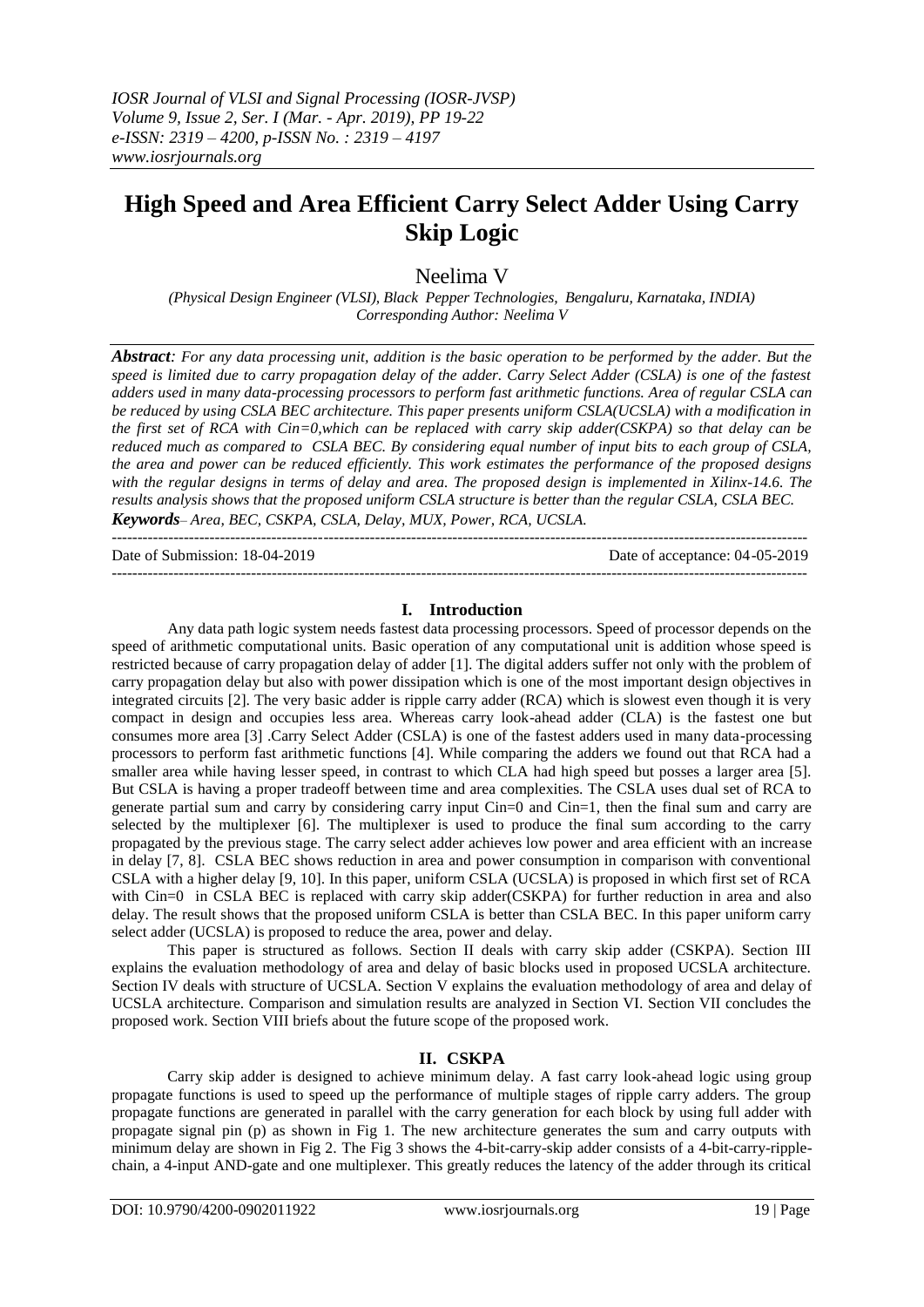---------------------------------------------------------------------------------------------------------------------------------------

# **High Speed and Area Efficient Carry Select Adder Using Carry Skip Logic**

Neelima V

*(Physical Design Engineer (VLSI), Black Pepper Technologies, Bengaluru, Karnataka, INDIA) Corresponding Author: Neelima V* 

*Abstract: For any data processing unit, addition is the basic operation to be performed by the adder. But the speed is limited due to carry propagation delay of the adder. Carry Select Adder (CSLA) is one of the fastest adders used in many data-processing processors to perform fast arithmetic functions. Area of regular CSLA can be reduced by using CSLA BEC architecture. This paper presents uniform CSLA(UCSLA) with a modification in the first set of RCA with Cin=0,which can be replaced with carry skip adder(CSKPA) so that delay can be reduced much as compared to CSLA BEC. By considering equal number of input bits to each group of CSLA, the area and power can be reduced efficiently. This work estimates the performance of the proposed designs with the regular designs in terms of delay and area. The proposed design is implemented in Xilinx-14.6. The results analysis shows that the proposed uniform CSLA structure is better than the regular CSLA, CSLA BEC. Keywords*– *Area, BEC, CSKPA, CSLA, Delay, MUX, Power, RCA, UCSLA.*

Date of Submission: 18-04-2019 Date of acceptance: 04-05-2019

### **I. Introduction**

---------------------------------------------------------------------------------------------------------------------------------------

Any data path logic system needs fastest data processing processors. Speed of processor depends on the speed of arithmetic computational units. Basic operation of any computational unit is addition whose speed is restricted because of carry propagation delay of adder [1]. The digital adders suffer not only with the problem of carry propagation delay but also with power dissipation which is one of the most important design objectives in integrated circuits [2]. The very basic adder is ripple carry adder (RCA) which is slowest even though it is very compact in design and occupies less area. Whereas carry look-ahead adder (CLA) is the fastest one but consumes more area [3] .Carry Select Adder (CSLA) is one of the fastest adders used in many data-processing processors to perform fast arithmetic functions [4]. While comparing the adders we found out that RCA had a smaller area while having lesser speed, in contrast to which CLA had high speed but posses a larger area [5]. But CSLA is having a proper tradeoff between time and area complexities. The CSLA uses dual set of RCA to generate partial sum and carry by considering carry input Cin=0 and Cin=1, then the final sum and carry are selected by the multiplexer [6]. The multiplexer is used to produce the final sum according to the carry propagated by the previous stage. The carry select adder achieves low power and area efficient with an increase in delay [7, 8]. CSLA BEC shows reduction in area and power consumption in comparison with conventional CSLA with a higher delay [9, 10]. In this paper, uniform CSLA (UCSLA) is proposed in which first set of RCA with Cin=0 in CSLA BEC is replaced with carry skip adder(CSKPA) for further reduction in area and also delay. The result shows that the proposed uniform CSLA is better than CSLA BEC. In this paper uniform carry select adder (UCSLA) is proposed to reduce the area, power and delay.

This paper is structured as follows. Section II deals with carry skip adder (CSKPA). Section III explains the evaluation methodology of area and delay of basic blocks used in proposed UCSLA architecture. Section IV deals with structure of UCSLA. Section V explains the evaluation methodology of area and delay of UCSLA architecture. Comparison and simulation results are analyzed in Section VI. Section VII concludes the proposed work. Section VIII briefs about the future scope of the proposed work.

### **II. CSKPA**

Carry skip adder is designed to achieve minimum delay. A fast carry look-ahead logic using group propagate functions is used to speed up the performance of multiple stages of ripple carry adders. The group propagate functions are generated in parallel with the carry generation for each block by using full adder with propagate signal pin (p) as shown in Fig 1. The new architecture generates the sum and carry outputs with minimum delay are shown in Fig 2. The Fig 3 shows the 4-bit-carry-skip adder consists of a 4-bit-carry-ripplechain, a 4-input AND-gate and one multiplexer. This greatly reduces the latency of the adder through its critical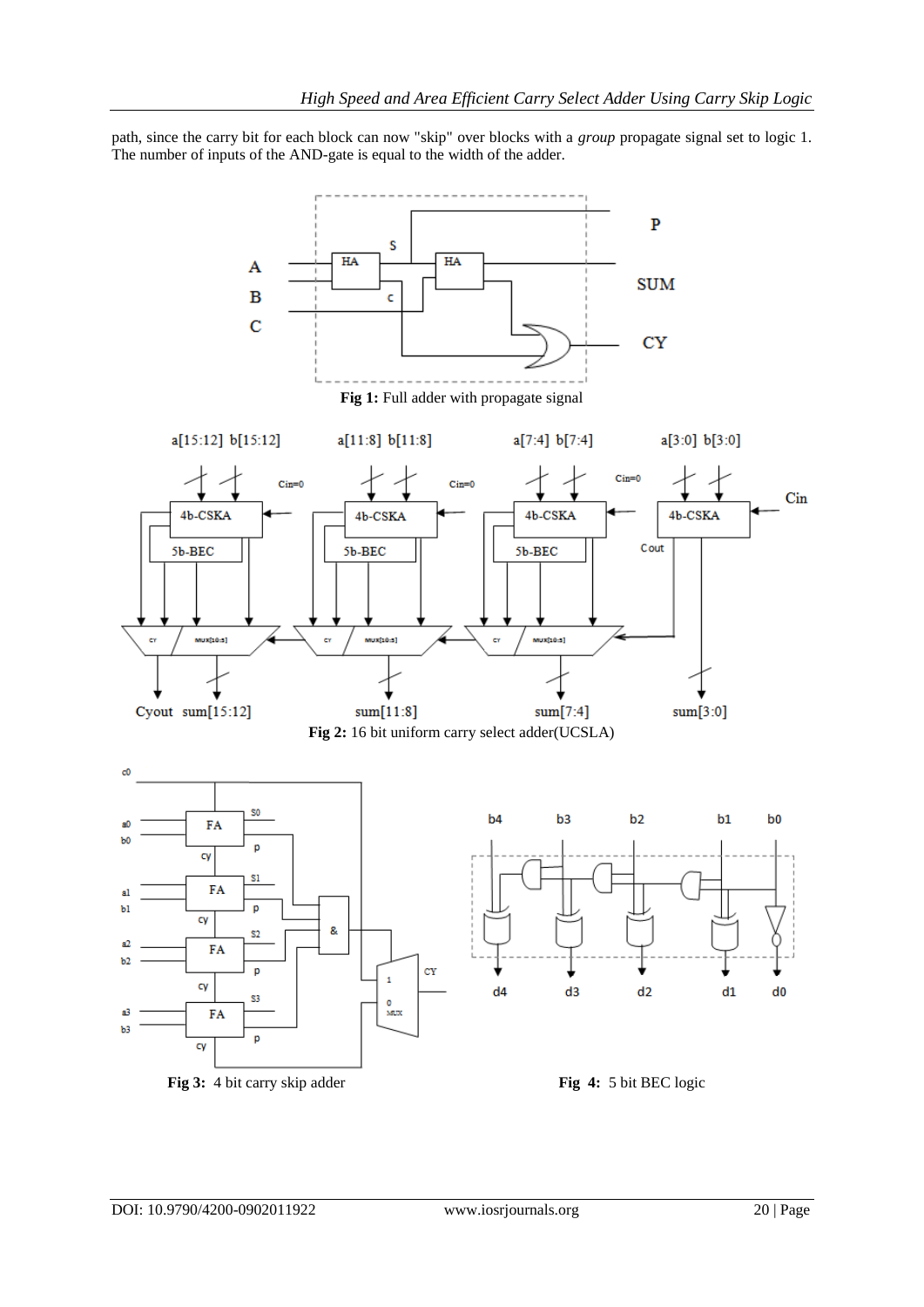path, since the carry bit for each block can now "skip" over blocks with a *group* propagate signal set to logic 1. The number of inputs of the AND-gate is equal to the width of the adder.

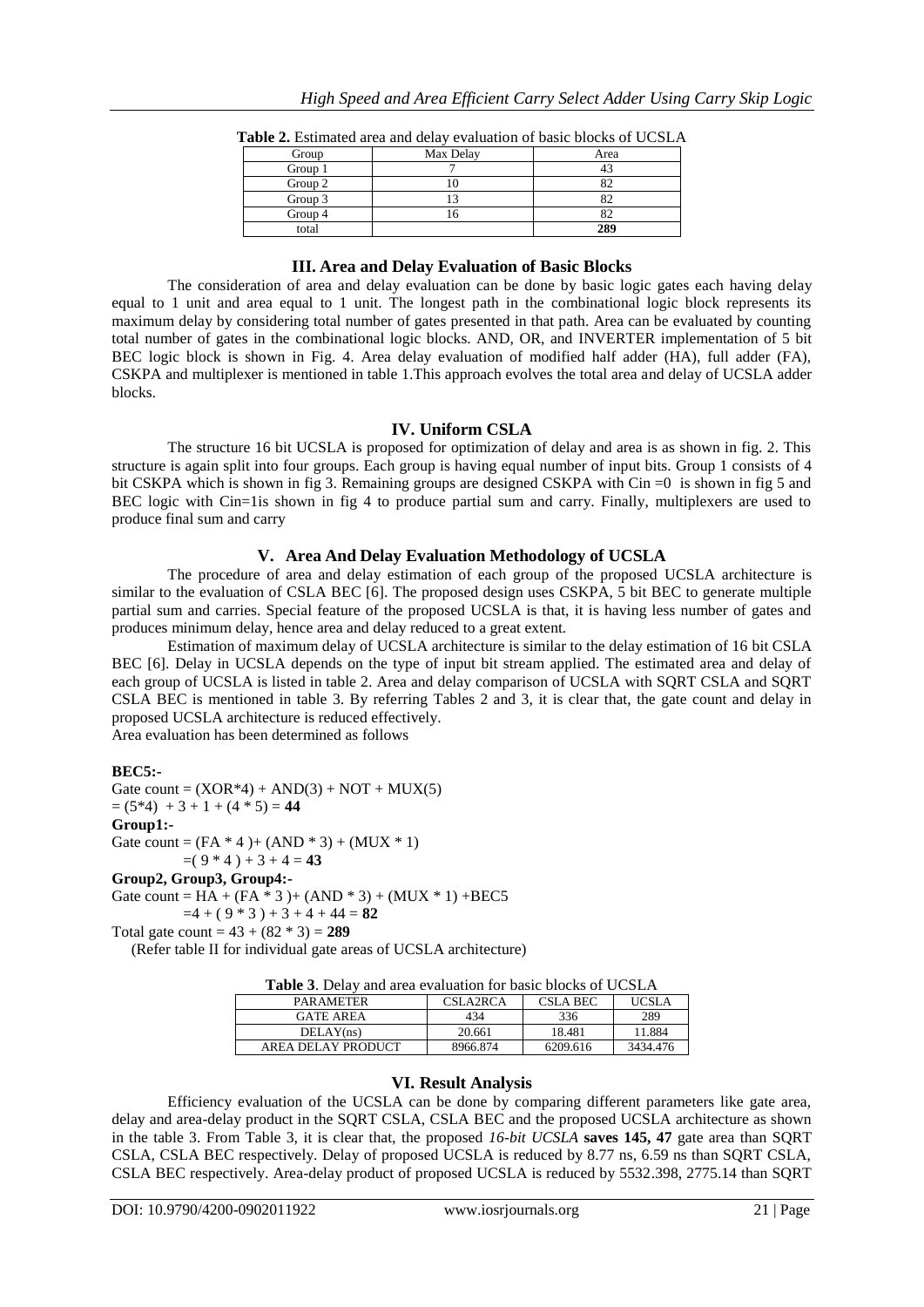| Group   | Max Delay | Area |
|---------|-----------|------|
| Group 1 |           |      |
| Group 2 |           |      |
| Group 3 |           |      |
| Group 4 |           |      |
| total   |           | 289  |

**Table 2.** Estimated area and delay evaluation of basic blocks of UCSLA

## **III. Area and Delay Evaluation of Basic Blocks**

The consideration of area and delay evaluation can be done by basic logic gates each having delay equal to 1 unit and area equal to 1 unit. The longest path in the combinational logic block represents its maximum delay by considering total number of gates presented in that path. Area can be evaluated by counting total number of gates in the combinational logic blocks. AND, OR, and INVERTER implementation of 5 bit BEC logic block is shown in Fig. 4. Area delay evaluation of modified half adder (HA), full adder (FA), CSKPA and multiplexer is mentioned in table 1.This approach evolves the total area and delay of UCSLA adder blocks.

## **IV. Uniform CSLA**

The structure 16 bit UCSLA is proposed for optimization of delay and area is as shown in fig. 2. This structure is again split into four groups. Each group is having equal number of input bits. Group 1 consists of 4 bit CSKPA which is shown in fig 3. Remaining groups are designed CSKPA with Cin =0 is shown in fig 5 and BEC logic with Cin=1is shown in fig 4 to produce partial sum and carry. Finally, multiplexers are used to produce final sum and carry

## **V. Area And Delay Evaluation Methodology of UCSLA**

The procedure of area and delay estimation of each group of the proposed UCSLA architecture is similar to the evaluation of CSLA BEC [6]. The proposed design uses CSKPA, 5 bit BEC to generate multiple partial sum and carries. Special feature of the proposed UCSLA is that, it is having less number of gates and produces minimum delay, hence area and delay reduced to a great extent.

Estimation of maximum delay of UCSLA architecture is similar to the delay estimation of 16 bit CSLA BEC [6]. Delay in UCSLA depends on the type of input bit stream applied. The estimated area and delay of each group of UCSLA is listed in table 2. Area and delay comparison of UCSLA with SQRT CSLA and SQRT CSLA BEC is mentioned in table 3. By referring Tables 2 and 3, it is clear that, the gate count and delay in proposed UCSLA architecture is reduced effectively.

Area evaluation has been determined as follows

## **BEC5:-**

Gate count =  $(XOR*4) + AND(3) + NOT + MUX(5)$  $= (5*4) + 3 + 1 + (4*5) = 44$ **Group1:-** Gate count =  $(FA * 4) + (AND * 3) + (MUX * 1)$  $=(9 * 4) + 3 + 4 = 43$ **Group2, Group3, Group4:-** Gate count =  $HA + (FA * 3) + (AND * 3) + (MUX * 1) + BEC5$  $=4 + (9 * 3) + 3 + 4 + 44 = 82$ 

Total gate count =  $43 + (82 * 3) = 289$ 

(Refer table II for individual gate areas of UCSLA architecture)

| <b>Table 3.</b> Delay and area evaluation for basic blocks of UCSLA |  |  |  |
|---------------------------------------------------------------------|--|--|--|
|                                                                     |  |  |  |

| <b>PARAMETER</b>   | CSLA2RCA | CSLA BEC |          |
|--------------------|----------|----------|----------|
| <b>GATE AREA</b>   | 434      | 336      | 289      |
| DELAY(ns)          | 20.661   | 18.481   | 11.884   |
| AREA DELAY PRODUCT | 8966.874 | 6209.616 | 3434.476 |

## **VI. Result Analysis**

Efficiency evaluation of the UCSLA can be done by comparing different parameters like gate area, delay and area-delay product in the SQRT CSLA, CSLA BEC and the proposed UCSLA architecture as shown in the table 3. From Table 3, it is clear that, the proposed *16-bit UCSLA* **saves 145, 47** gate area than SQRT CSLA, CSLA BEC respectively. Delay of proposed UCSLA is reduced by 8.77 ns, 6.59 ns than SQRT CSLA, CSLA BEC respectively. Area-delay product of proposed UCSLA is reduced by 5532.398, 2775.14 than SQRT